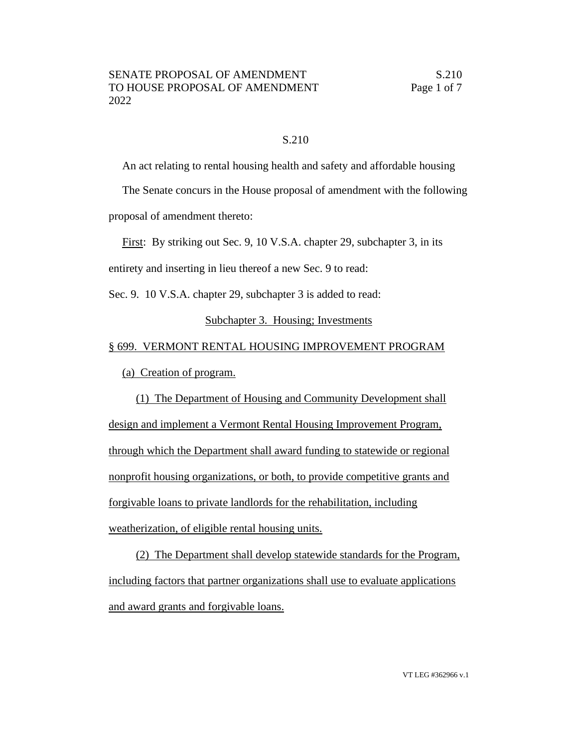## S.210

An act relating to rental housing health and safety and affordable housing

The Senate concurs in the House proposal of amendment with the following

proposal of amendment thereto:

First: By striking out Sec. 9, 10 V.S.A. chapter 29, subchapter 3, in its

entirety and inserting in lieu thereof a new Sec. 9 to read:

Sec. 9. 10 V.S.A. chapter 29, subchapter 3 is added to read:

## Subchapter 3. Housing; Investments

## § 699. VERMONT RENTAL HOUSING IMPROVEMENT PROGRAM

(a) Creation of program.

(1) The Department of Housing and Community Development shall design and implement a Vermont Rental Housing Improvement Program, through which the Department shall award funding to statewide or regional nonprofit housing organizations, or both, to provide competitive grants and forgivable loans to private landlords for the rehabilitation, including weatherization, of eligible rental housing units.

(2) The Department shall develop statewide standards for the Program, including factors that partner organizations shall use to evaluate applications and award grants and forgivable loans.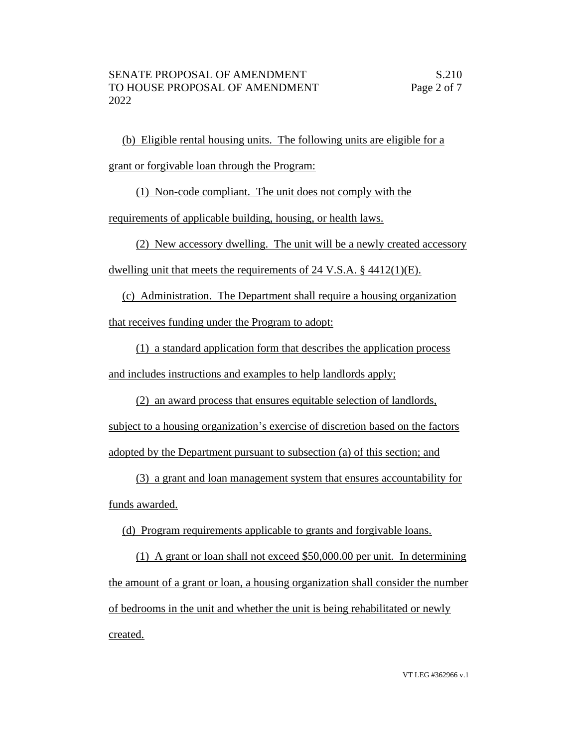(b) Eligible rental housing units. The following units are eligible for a grant or forgivable loan through the Program:

(1) Non-code compliant. The unit does not comply with the

requirements of applicable building, housing, or health laws.

(2) New accessory dwelling. The unit will be a newly created accessory

dwelling unit that meets the requirements of 24 V.S.A. § 4412(1)(E).

(c) Administration. The Department shall require a housing organization that receives funding under the Program to adopt:

(1) a standard application form that describes the application process and includes instructions and examples to help landlords apply;

(2) an award process that ensures equitable selection of landlords,

subject to a housing organization's exercise of discretion based on the factors adopted by the Department pursuant to subsection (a) of this section; and

(3) a grant and loan management system that ensures accountability for funds awarded.

(d) Program requirements applicable to grants and forgivable loans.

(1) A grant or loan shall not exceed \$50,000.00 per unit. In determining the amount of a grant or loan, a housing organization shall consider the number of bedrooms in the unit and whether the unit is being rehabilitated or newly created.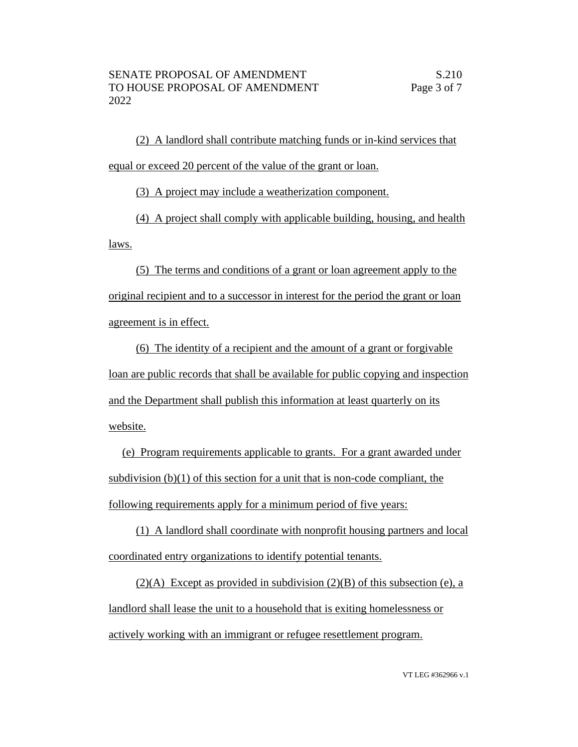(2) A landlord shall contribute matching funds or in-kind services that equal or exceed 20 percent of the value of the grant or loan.

(3) A project may include a weatherization component.

(4) A project shall comply with applicable building, housing, and health laws.

(5) The terms and conditions of a grant or loan agreement apply to the original recipient and to a successor in interest for the period the grant or loan agreement is in effect.

(6) The identity of a recipient and the amount of a grant or forgivable loan are public records that shall be available for public copying and inspection and the Department shall publish this information at least quarterly on its website.

(e) Program requirements applicable to grants. For a grant awarded under subdivision (b)(1) of this section for a unit that is non-code compliant, the following requirements apply for a minimum period of five years:

(1) A landlord shall coordinate with nonprofit housing partners and local coordinated entry organizations to identify potential tenants.

 $(2)(A)$  Except as provided in subdivision  $(2)(B)$  of this subsection (e), a landlord shall lease the unit to a household that is exiting homelessness or actively working with an immigrant or refugee resettlement program.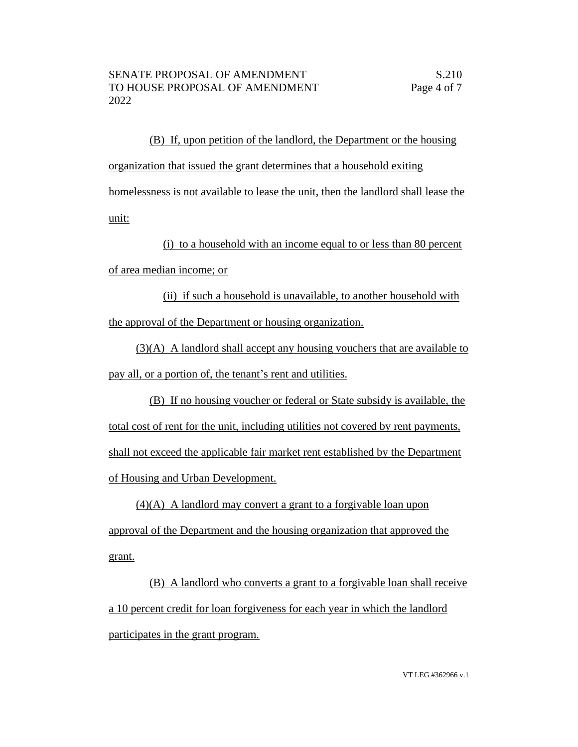(B) If, upon petition of the landlord, the Department or the housing organization that issued the grant determines that a household exiting homelessness is not available to lease the unit, then the landlord shall lease the unit:

(i) to a household with an income equal to or less than 80 percent of area median income; or

(ii) if such a household is unavailable, to another household with the approval of the Department or housing organization.

(3)(A) A landlord shall accept any housing vouchers that are available to pay all, or a portion of, the tenant's rent and utilities.

(B) If no housing voucher or federal or State subsidy is available, the total cost of rent for the unit, including utilities not covered by rent payments, shall not exceed the applicable fair market rent established by the Department of Housing and Urban Development.

(4)(A) A landlord may convert a grant to a forgivable loan upon approval of the Department and the housing organization that approved the grant.

(B) A landlord who converts a grant to a forgivable loan shall receive a 10 percent credit for loan forgiveness for each year in which the landlord participates in the grant program.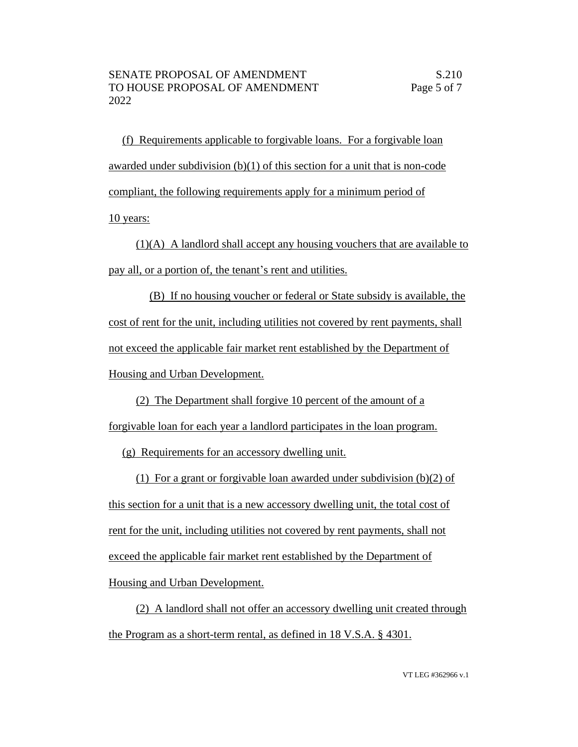(f) Requirements applicable to forgivable loans. For a forgivable loan awarded under subdivision (b)(1) of this section for a unit that is non-code compliant, the following requirements apply for a minimum period of

10 years:

(1)(A) A landlord shall accept any housing vouchers that are available to pay all, or a portion of, the tenant's rent and utilities.

(B) If no housing voucher or federal or State subsidy is available, the cost of rent for the unit, including utilities not covered by rent payments, shall not exceed the applicable fair market rent established by the Department of Housing and Urban Development.

(2) The Department shall forgive 10 percent of the amount of a

forgivable loan for each year a landlord participates in the loan program.

(g) Requirements for an accessory dwelling unit.

(1) For a grant or forgivable loan awarded under subdivision (b)(2) of this section for a unit that is a new accessory dwelling unit, the total cost of rent for the unit, including utilities not covered by rent payments, shall not exceed the applicable fair market rent established by the Department of Housing and Urban Development.

(2) A landlord shall not offer an accessory dwelling unit created through the Program as a short-term rental, as defined in 18 V.S.A. § 4301.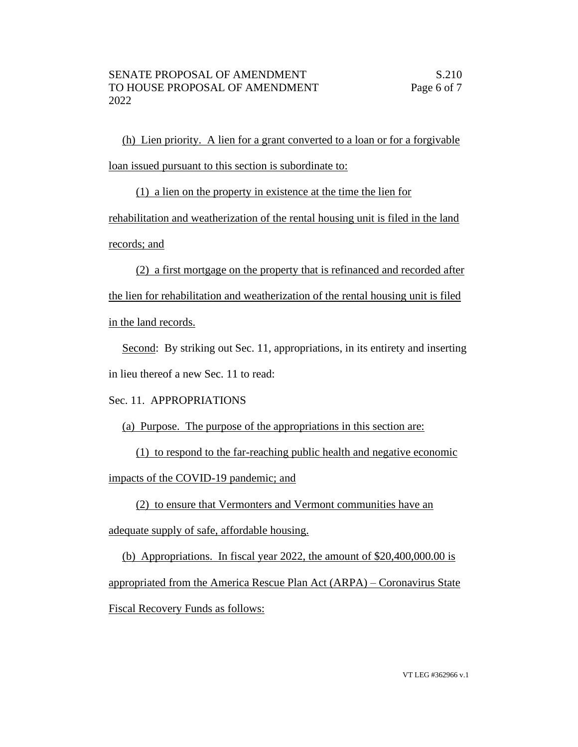(h) Lien priority. A lien for a grant converted to a loan or for a forgivable loan issued pursuant to this section is subordinate to:

(1) a lien on the property in existence at the time the lien for rehabilitation and weatherization of the rental housing unit is filed in the land records; and

(2) a first mortgage on the property that is refinanced and recorded after the lien for rehabilitation and weatherization of the rental housing unit is filed in the land records.

Second: By striking out Sec. 11, appropriations, in its entirety and inserting in lieu thereof a new Sec. 11 to read:

## Sec. 11. APPROPRIATIONS

(a) Purpose. The purpose of the appropriations in this section are:

(1) to respond to the far-reaching public health and negative economic

impacts of the COVID-19 pandemic; and

(2) to ensure that Vermonters and Vermont communities have an adequate supply of safe, affordable housing.

(b) Appropriations. In fiscal year 2022, the amount of \$20,400,000.00 is appropriated from the America Rescue Plan Act (ARPA) – Coronavirus State Fiscal Recovery Funds as follows: